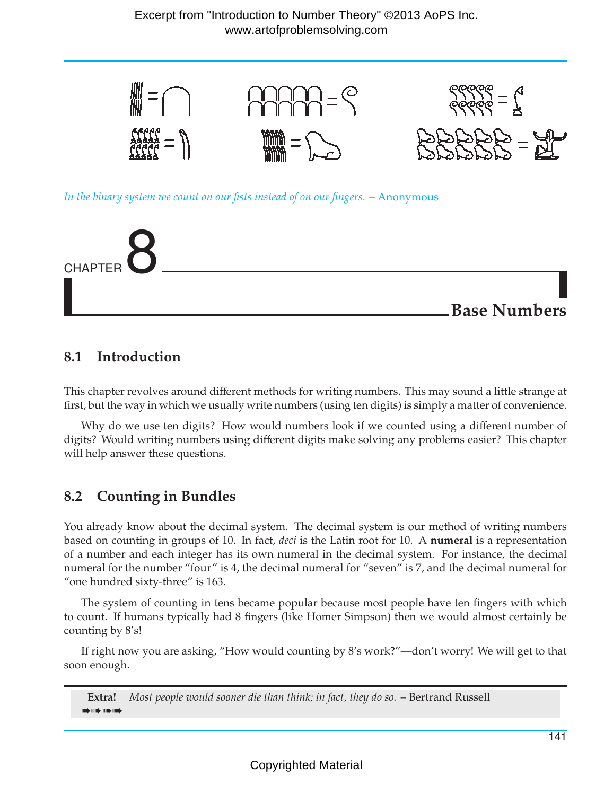

## **8.1 Introduction**

This chapter revolves around different methods for writing numbers. This may sound a little strange at first, but the way in which we usually write numbers (using ten digits) is simply a matter of convenience.

Why do we use ten digits? How would numbers look if we counted using a different number of digits? Would writing numbers using different digits make solving any problems easier? This chapter will help answer these questions.

## **8.2 Counting in Bundles**

You already know about the decimal system. The decimal system is our method of writing numbers based on counting in groups of 10. In fact, *deci* is the Latin root for 10. A **numeral** is a representation of a number and each integer has its own numeral in the decimal system. For instance, the decimal numeral for the number "four" is 4, the decimal numeral for "seven" is 7, and the decimal numeral for "one hundred sixty-three" is 163.

The system of counting in tens became popular because most people have ten fingers with which to count. If humans typically had 8 fingers (like Homer Simpson) then we would almost certainly be counting by 8's!

If right now you are asking, "How would counting by 8's work?"—don't worry! We will get to that soon enough.

**Extra!**  $\Rightarrow$   $\Rightarrow$   $\Rightarrow$   $\Rightarrow$   $\Rightarrow$   $\Rightarrow$   $\Rightarrow$   $\Rightarrow$ *Most people would sooner die than think; in fact, they do so.* – Bertrand Russell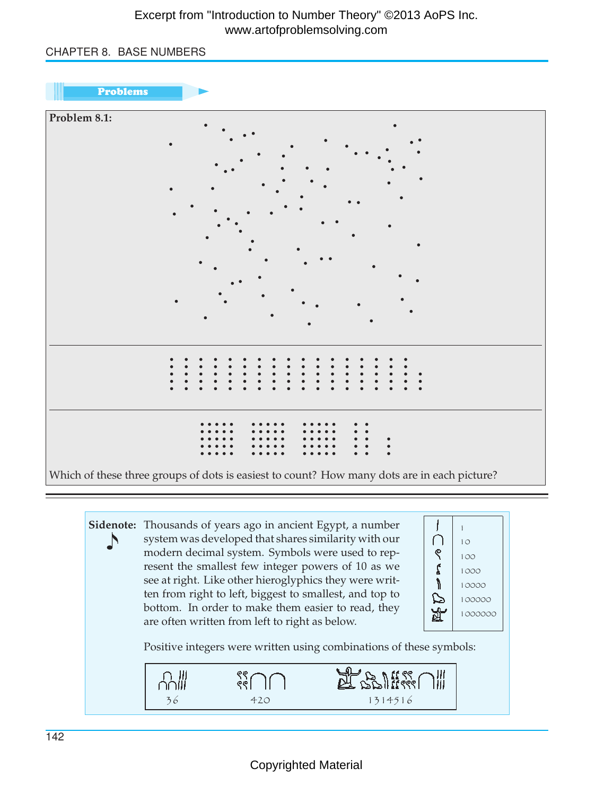### Excerpt from "Introduction to Number Theory" ©2013 AoPS Inc. www.artofproblemsolving.com

### CHAPTER 8. BASE NUMBERS





**Sidenote:** Thousands of years ago in ancient Egypt, a number ↵ system was developed that shares similarity with our modern decimal system. Symbols were used to represent the smallest few integer powers of 10 as we see at right. Like other hieroglyphics they were written from right to left, biggest to smallest, and top to bottom. In order to make them easier to read, they are often written from left to right as below.



Positive integers were written using combinations of these symbols:

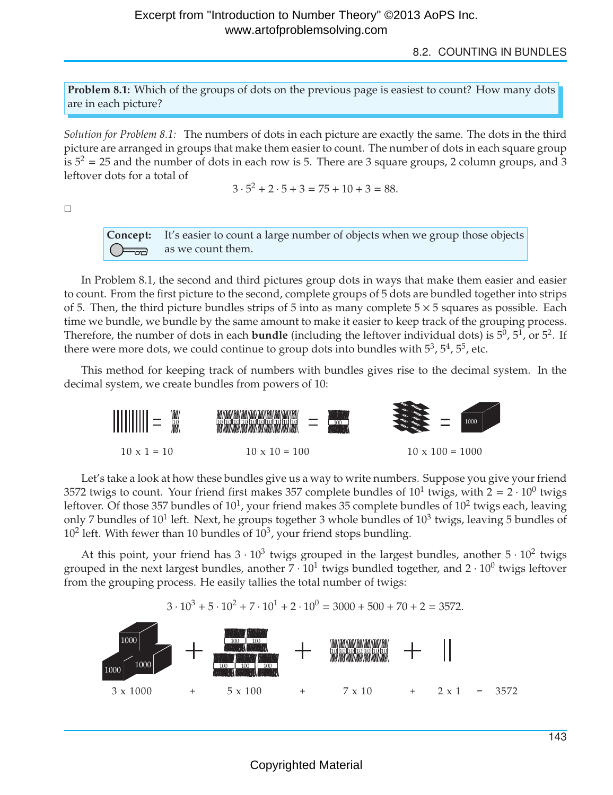8.2. COUNTING IN BUNDLES

**Problem 8.1:** Which of the groups of dots on the previous page is easiest to count? How many dots are in each picture?

*Solution for Problem 8.1:* The numbers of dots in each picture are exactly the same. The dots in the third picture are arranged in groups that make them easier to count. The number of dots in each square group is  $5^2 = 25$  and the number of dots in each row is 5. There are 3 square groups, 2 column groups, and 3 leftover dots for a total of

$$
3 \cdot 5^2 + 2 \cdot 5 + 3 = 75 + 10 + 3 = 88.
$$

 $\Box$ 

**Concept:** It's easier to count a large number of objects when we group those objects as we count them.  $\equiv$ 

In Problem 8.1, the second and third pictures group dots in ways that make them easier and easier to count. From the first picture to the second, complete groups of 5 dots are bundled together into strips of 5. Then, the third picture bundles strips of 5 into as many complete  $5 \times 5$  squares as possible. Each time we bundle, we bundle by the same amount to make it easier to keep track of the grouping process. Therefore, the number of dots in each **bundle** (including the leftover individual dots) is  $5^0$ ,  $5^1$ , or  $5^2$ . If there were more dots, we could continue to group dots into bundles with  $5^3$ ,  $5^4$ ,  $5^5$ , etc.

This method for keeping track of numbers with bundles gives rise to the decimal system. In the decimal system, we create bundles from powers of 10:



Let's take a look at how these bundles give us a way to write numbers. Suppose you give your friend 3572 twigs to count. Your friend first makes 357 complete bundles of  $10^1$  twigs, with  $2 = 2 \cdot 10^0$  twigs leftover. Of those 357 bundles of  $10<sup>1</sup>$ , your friend makes 35 complete bundles of  $10<sup>2</sup>$  twigs each, leaving only 7 bundles of  $10^1$  left. Next, he groups together 3 whole bundles of  $10^3$  twigs, leaving 5 bundles of  $10^2$  left. With fewer than 10 bundles of  $10^3$ , your friend stops bundling.

At this point, your friend has  $3 \cdot 10^3$  twigs grouped in the largest bundles, another  $5 \cdot 10^2$  twigs grouped in the next largest bundles, another  $7 \cdot 10^1$  twigs bundled together, and  $2 \cdot 10^0$  twigs leftover from the grouping process. He easily tallies the total number of twigs:

 $3 \cdot 10^3 + 5 \cdot 10^2 + 7 \cdot 10^1 + 2 \cdot 10^0 = 3000 + 500 + 70 + 2 = 3572$ .



143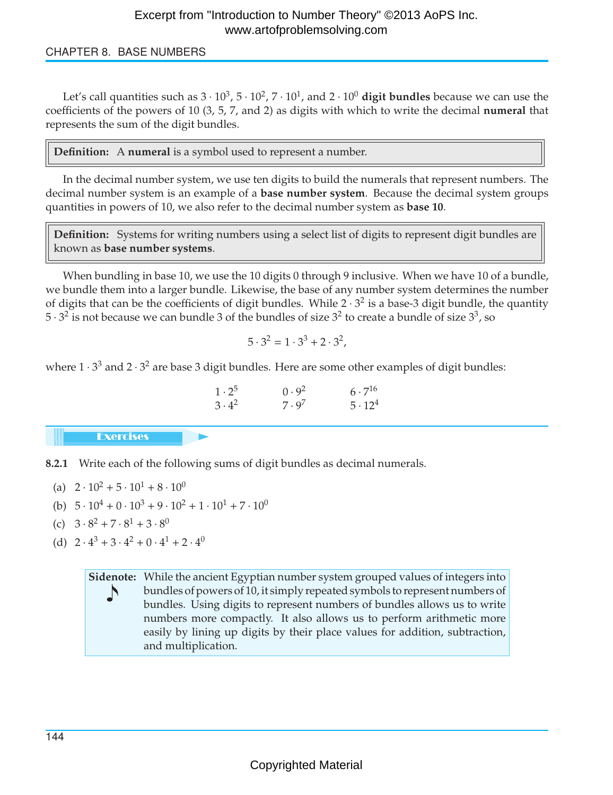### CHAPTER 8. BASE NUMBERS

Let's call quantities such as  $3 \cdot 10^3$ ,  $5 \cdot 10^2$ ,  $7 \cdot 10^1$ , and  $2 \cdot 10^0$  digit bundles because we can use the coefficients of the powers of 10 (3, 5, 7, and 2) as digits with which to write the decimal **numeral** that represents the sum of the digit bundles.

**Definition:** A **numeral** is a symbol used to represent a number.

In the decimal number system, we use ten digits to build the numerals that represent numbers. The decimal number system is an example of a **base number system**. Because the decimal system groups quantities in powers of 10, we also refer to the decimal number system as **base 10**.

**Definition:** Systems for writing numbers using a select list of digits to represent digit bundles are known as **base number systems**.

When bundling in base 10, we use the 10 digits 0 through 9 inclusive. When we have 10 of a bundle, we bundle them into a larger bundle. Likewise, the base of any number system determines the number of digits that can be the coefficients of digit bundles. While  $2 \cdot 3^2$  is a base-3 digit bundle, the quantity  $5 \cdot 3^2$  is not because we can bundle 3 of the bundles of size  $3^2$  to create a bundle of size  $3^3$ , so

$$
5 \cdot 3^2 = 1 \cdot 3^3 + 2 \cdot 3^2,
$$

where  $1 \cdot 3^3$  and  $2 \cdot 3^2$  are base 3 digit bundles. Here are some other examples of digit bundles:

| $1\cdot 2^5$  | 0.9 <sup>2</sup> | $6 \cdot 7^{16}$ |
|---------------|------------------|------------------|
| $3 \cdot 4^2$ | $7 \cdot 9^7$    | $5 \cdot 12^4$   |

**Exercises** 

**8.2.1** Write each of the following sums of digit bundles as decimal numerals.

- (a)  $2 \cdot 10^2 + 5 \cdot 10^1 + 8 \cdot 10^0$
- (b)  $5 \cdot 10^4 + 0 \cdot 10^3 + 9 \cdot 10^2 + 1 \cdot 10^1 + 7 \cdot 10^0$
- (c)  $3 \cdot 8^2 + 7 \cdot 8^1 + 3 \cdot 8^0$
- (d)  $2 \cdot 4^3 + 3 \cdot 4^2 + 0 \cdot 4^1 + 2 \cdot 4^0$

**Sidenote:** While the ancient Egyptian number system grouped values of integers into ↵ bundles of powers of 10, it simply repeated symbols to represent numbers of bundles. Using digits to represent numbers of bundles allows us to write numbers more compactly. It also allows us to perform arithmetic more easily by lining up digits by their place values for addition, subtraction, and multiplication.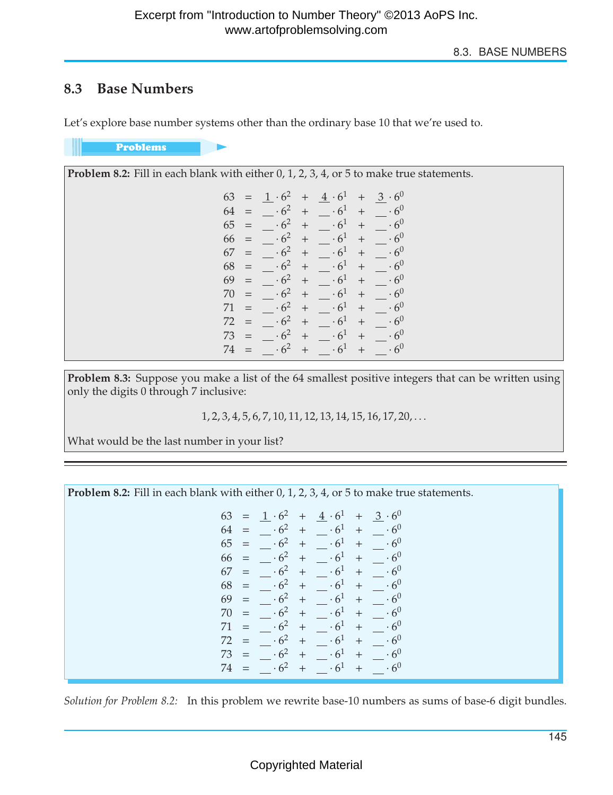## **8.3 Base Numbers**

Let's explore base number systems other than the ordinary base 10 that we're used to.

Problems

| <b>Problem 8.2:</b> Fill in each blank with either 0, 1, 2, 3, 4, or 5 to make true statements. |  |  |  |  |
|-------------------------------------------------------------------------------------------------|--|--|--|--|
| $+ 3 \cdot 6^0$<br>$63 = 1 \cdot 6^2$<br>$+\quad 4\cdot 6^1$                                    |  |  |  |  |
| $\cdot 6^2$<br>$+$<br>$\cdot 6^1$<br>$\cdot 6^0$<br>64<br>$+$                                   |  |  |  |  |
| .6 <sup>0</sup><br>65<br>$+$<br>$^{+}$                                                          |  |  |  |  |
| 66<br>$+$<br>$^+$                                                                               |  |  |  |  |
| $\cdot 6^0$<br>$+$<br>67<br>$+$<br>$=$                                                          |  |  |  |  |
| $\cdot 6^0$<br>68<br>.62<br>$+$<br>$=$<br>$^{+}$                                                |  |  |  |  |
| $\cdot 6^0$<br>69<br>$+$                                                                        |  |  |  |  |
| $\cdot 6^2$<br>$\cdot 6^0$<br>$+$<br>70<br>$+$<br>$=$                                           |  |  |  |  |
| $\cdot 6^0$<br>$+$<br>$\cdot 6^{\circ}$<br>71<br>$=$<br>$^{+}$                                  |  |  |  |  |
| $\cdot 6^{0}$<br>72<br>$+$                                                                      |  |  |  |  |
| $\cdot 6^2$<br>.6 <sup>0</sup><br>$+$<br>73<br>$+$<br>$=$                                       |  |  |  |  |
| $+$<br>74                                                                                       |  |  |  |  |

**Problem 8.3:** Suppose you make a list of the 64 smallest positive integers that can be written using only the digits 0 through 7 inclusive:

1, 2, 3, 4, 5, 6, 7, 10, 11, 12, 13, 14, 15, 16, 17, 20,...

What would be the last number in your list?

**Problem 8.2:** Fill in each blank with either 0, 1, 2, 3, 4, or 5 to make true statements. 63 =  $1 \cdot 6^2$  +  $4 \cdot 6^1$  +  $3 \cdot 6^0$ <br>64 =  $\cdot 6^2$  +  $\cdot 6^1$  +  $\cdot 6^0$ 64 =  $\begin{array}{r} .6^2 + .6^1 + .6^0 \\ .65 = .6^2 + .6^1 + .6^0 \end{array}$  $65 = -6^2 + -6^1$ <br>  $66 = -6^2 + 6^1$  $6^2$  +  $6^1$  +  $6^0$  $67 =$   $\cdot 6^2 +$   $\cdot 6^1 +$   $\cdot 6^0$  $68 = -6^2 + -6^1 + -6^0$ 69 =  $\begin{array}{r} .6^2 + .6^1 + .6^0 \\ 70 = .6^2 + .6^1 + .6^0 \end{array}$  $70 = -6^2 + -6^1$  $71 = -6^2 + -6^1 + -6^0$ <br>  $72 = -6^2 + -6^1 + 6^0$  $\frac{72}{73} = -\frac{6^2}{6^2} + \frac{6^1}{6^1} + \frac{6^0}{6^0}$  $73 = -6^2 + -6^1 + -6^0$ <br>  $74 = -6^2 + 6^1 + 6^0$  $\cdot 6^2$  +

*Solution for Problem 8.2:* In this problem we rewrite base-10 numbers as sums of base-6 digit bundles.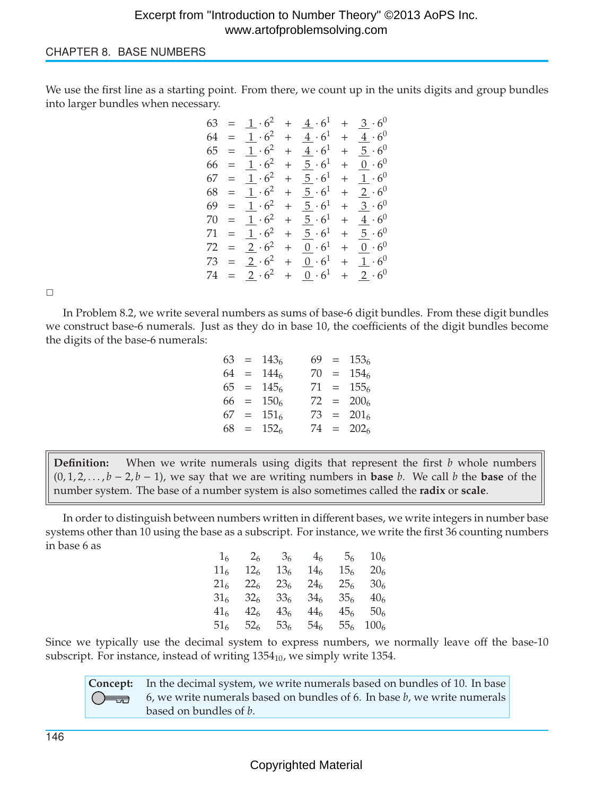#### CHAPTER 8. BASE NUMBERS

We use the first line as a starting point. From there, we count up in the units digits and group bundles into larger bundles when necessary.

$$
63 = 1 \cdot 6^2 + 4 \cdot 6^1 + 3 \cdot 6^0
$$
  
\n
$$
64 = 1 \cdot 6^2 + 4 \cdot 6^1 + 4 \cdot 6^0
$$
  
\n
$$
65 = 1 \cdot 6^2 + 5 \cdot 6^1 + 5 \cdot 6^0
$$
  
\n
$$
66 = 1 \cdot 6^2 + 5 \cdot 6^1 + 1 \cdot 6^0
$$
  
\n
$$
67 = 1 \cdot 6^2 + 5 \cdot 6^1 + 1 \cdot 6^0
$$
  
\n
$$
68 = 1 \cdot 6^2 + 5 \cdot 6^1 + 2 \cdot 6^0
$$
  
\n
$$
69 = 1 \cdot 6^2 + 5 \cdot 6^1 + 3 \cdot 6^0
$$
  
\n
$$
70 = 1 \cdot 6^2 + 5 \cdot 6^1 + 4 \cdot 6^0
$$
  
\n
$$
71 = 1 \cdot 6^2 + 5 \cdot 6^1 + 5 \cdot 6^0
$$
  
\n
$$
72 = 2 \cdot 6^2 + 0 \cdot 6^1 + 0 \cdot 6^0
$$
  
\n
$$
73 = 2 \cdot 6^2 + 0 \cdot 6^1 + 1 \cdot 6^0
$$
  
\n
$$
74 = 2 \cdot 6^2 + 0 \cdot 6^1 + 2 \cdot 6^0
$$

 $\Box$ 

In Problem 8.2, we write several numbers as sums of base-6 digit bundles. From these digit bundles we construct base-6 numerals. Just as they do in base 10, the coefficients of the digit bundles become the digits of the base-6 numerals:

|  | $63 = 1436$  |  | $69 = 1536$  |
|--|--------------|--|--------------|
|  | $64 = 1446$  |  | $70 = 1546$  |
|  | $65 = 145$   |  | $71 = 1556$  |
|  | $66 = 1506$  |  | $72 = 200_6$ |
|  | $67 = 151_6$ |  | $73 = 201_6$ |
|  | $68 = 1526$  |  | $74 = 202_6$ |
|  |              |  |              |

**Definition:** When we write numerals using digits that represent the first *b* whole numbers  $(0, 1, 2, \ldots, b - 2, b - 1)$ , we say that we are writing numbers in **base** *b*. We call *b* the **base** of the number system. The base of a number system is also sometimes called the **radix** or **scale**.

In order to distinguish between numbers written in different bases, we write integers in number base systems other than 10 using the base as a subscript. For instance, we write the first 36 counting numbers in base 6 as

| 1 <sub>6</sub>  | 2 <sub>6</sub>  | 3 <sub>6</sub>  | 4 <sub>6</sub>  | 5 <sub>6</sub>  | 10 <sub>6</sub>  |
|-----------------|-----------------|-----------------|-----------------|-----------------|------------------|
| 11 <sub>6</sub> | 12 <sub>6</sub> | 13 <sub>6</sub> | 14 <sub>6</sub> | 15 <sub>6</sub> | 20 <sub>6</sub>  |
| 21 <sub>6</sub> | $22_{6}$        | 23 <sub>6</sub> | $24_{6}$        | 25 <sub>6</sub> | 30 <sub>6</sub>  |
| 316             | 32 <sub>6</sub> | 336             | 34 <sub>6</sub> | 35 <sub>6</sub> | 40 <sub>6</sub>  |
| 416             | 42 <sub>6</sub> | 43 <sub>6</sub> | 44 <sub>6</sub> | 45 <sub>6</sub> | 50 <sub>6</sub>  |
| 51.             | 52 <sub>6</sub> | 53.             | 54.             | 556             | 100 <sub>6</sub> |

Since we typically use the decimal system to express numbers, we normally leave off the base-10 subscript. For instance, instead of writing  $1354_{10}$ , we simply write 1354.

**Concept:** In the decimal system, we write numerals based on bundles of 10. In base 6, we write numerals based on bundles of 6. In base *b*, we write numerals  $\equiv$ based on bundles of *b*.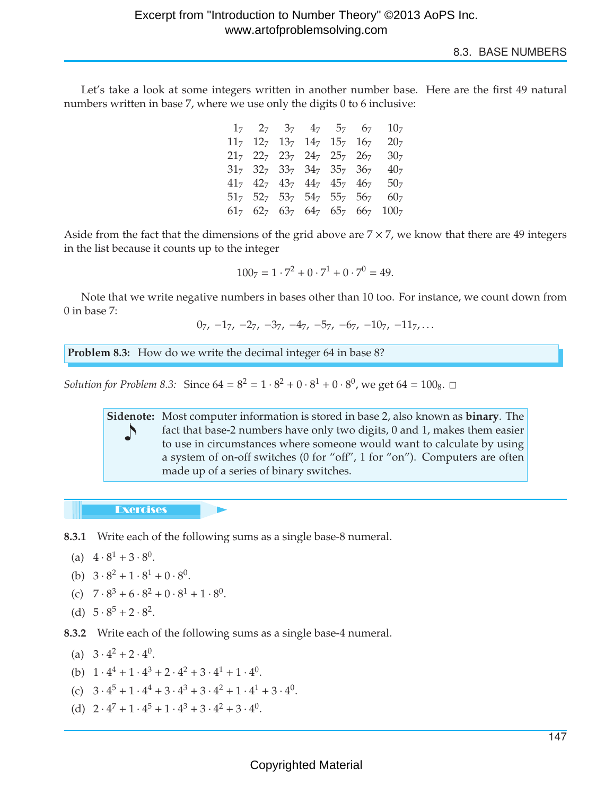8.3. BASE NUMBERS

Let's take a look at some integers written in another number base. Here are the first 49 natural numbers written in base 7, where we use only the digits 0 to 6 inclusive:

|  | $1_7$ $2_7$ $3_7$ $4_7$ $5_7$ $6_7$       |  | 10 <sub>7</sub>                                   |
|--|-------------------------------------------|--|---------------------------------------------------|
|  | $11_7$ $12_7$ $13_7$ $14_7$ $15_7$ $16_7$ |  | 20 <sub>7</sub>                                   |
|  | $21_7$ $22_7$ $23_7$ $24_7$ $25_7$ $26_7$ |  | 30 <sub>7</sub>                                   |
|  | $31_7$ $32_7$ $33_7$ $34_7$ $35_7$ $36_7$ |  | 40 <sub>7</sub>                                   |
|  | $41_7$ $42_7$ $43_7$ $44_7$ $45_7$ $46_7$ |  | 50 <sub>7</sub>                                   |
|  | $51_7$ $52_7$ $53_7$ $54_7$ $55_7$ $56_7$ |  | 60 <sub>7</sub>                                   |
|  |                                           |  | $61_7$ $62_7$ $63_7$ $64_7$ $65_7$ $66_7$ $100_7$ |

Aside from the fact that the dimensions of the grid above are  $7 \times 7$ , we know that there are 49 integers in the list because it counts up to the integer

$$
1007 = 1 \cdot 72 + 0 \cdot 71 + 0 \cdot 70 = 49.
$$

Note that we write negative numbers in bases other than 10 too. For instance, we count down from 0 in base 7:

 $0_7, -1_7, -2_7, -3_7, -4_7, -5_7, -6_7, -10_7, -11_7, \ldots$ 

**Problem 8.3:** How do we write the decimal integer 64 in base 8?

*Solution for Problem 8.3:* Since  $64 = 8^2 = 1 \cdot 8^2 + 0 \cdot 8^1 + 0 \cdot 8^0$ , we get  $64 = 100_8$ .  $\Box$ 

**Sidenote:** Most computer information is stored in base 2, also known as **binary**. The ↵ fact that base-2 numbers have only two digits, 0 and 1, makes them easier to use in circumstances where someone would want to calculate by using a system of on-off switches (0 for "off", 1 for "on"). Computers are often made up of a series of binary switches.

**Exercises** 

**8.3.1** Write each of the following sums as a single base-8 numeral.

- (a)  $4 \cdot 8^1 + 3 \cdot 8^0$ .
- (b)  $3 \cdot 8^2 + 1 \cdot 8^1 + 0 \cdot 8^0$ .

(c) 
$$
7 \cdot 8^3 + 6 \cdot 8^2 + 0 \cdot 8^1 + 1 \cdot 8^0
$$
.

(d)  $5 \cdot 8^5 + 2 \cdot 8^2$ .

**8.3.2** Write each of the following sums as a single base-4 numeral.

- (a)  $3 \cdot 4^2 + 2 \cdot 4^0$ .
- (b)  $1 \cdot 4^4 + 1 \cdot 4^3 + 2 \cdot 4^2 + 3 \cdot 4^1 + 1 \cdot 4^0$ .
- (c)  $3 \cdot 4^5 + 1 \cdot 4^4 + 3 \cdot 4^3 + 3 \cdot 4^2 + 1 \cdot 4^1 + 3 \cdot 4^0$ .
- (d)  $2 \cdot 4^7 + 1 \cdot 4^5 + 1 \cdot 4^3 + 3 \cdot 4^2 + 3 \cdot 4^0$ .